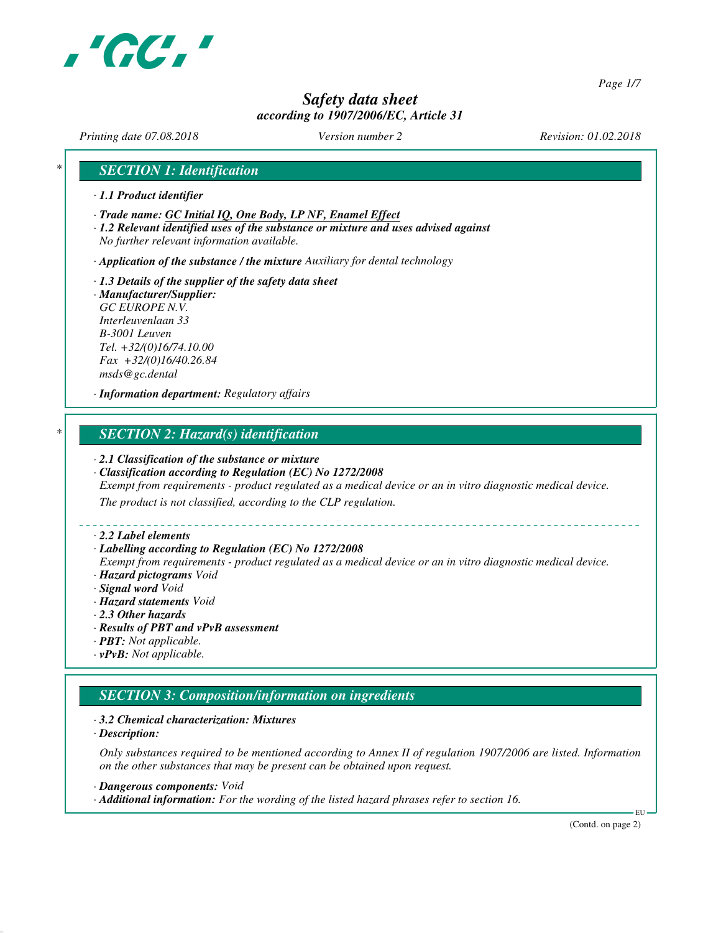

*Page 1/7*

# *Safety data sheet according to 1907/2006/EC, Article 31*

*Printing date 07.08.2018 Version number 2 Revision: 01.02.2018*

## *\* SECTION 1: Identification*

- *· 1.1 Product identifier*
- *· Trade name: GC Initial IQ, One Body, LP NF, Enamel Effect*
- *· 1.2 Relevant identified uses of the substance or mixture and uses advised against No further relevant information available.*

*· Application of the substance / the mixture Auxiliary for dental technology*

*· 1.3 Details of the supplier of the safety data sheet · Manufacturer/Supplier: GC EUROPE N.V. Interleuvenlaan 33 B-3001 Leuven Tel. +32/(0)16/74.10.00*

*Fax +32/(0)16/40.26.84 msds@gc.dental*

*· Information department: Regulatory affairs*

# *\* SECTION 2: Hazard(s) identification*

### *· 2.1 Classification of the substance or mixture*

- *· Classification according to Regulation (EC) No 1272/2008 Exempt from requirements - product regulated as a medical device or an in vitro diagnostic medical device. The product is not classified, according to the CLP regulation.*
- *· 2.2 Label elements*
- *· Labelling according to Regulation (EC) No 1272/2008*
- *Exempt from requirements product regulated as a medical device or an in vitro diagnostic medical device.*
- *· Hazard pictograms Void*
- *· Signal word Void*
- *· Hazard statements Void*
- *· 2.3 Other hazards*
- *· Results of PBT and vPvB assessment*
- *· PBT: Not applicable.*
- *· vPvB: Not applicable.*

### *SECTION 3: Composition/information on ingredients*

- *· 3.2 Chemical characterization: Mixtures*
- *· Description:*

*Only substances required to be mentioned according to Annex II of regulation 1907/2006 are listed. Information on the other substances that may be present can be obtained upon request.*

- *· Dangerous components: Void*
- *· Additional information: For the wording of the listed hazard phrases refer to section 16.*

(Contd. on page 2)

EU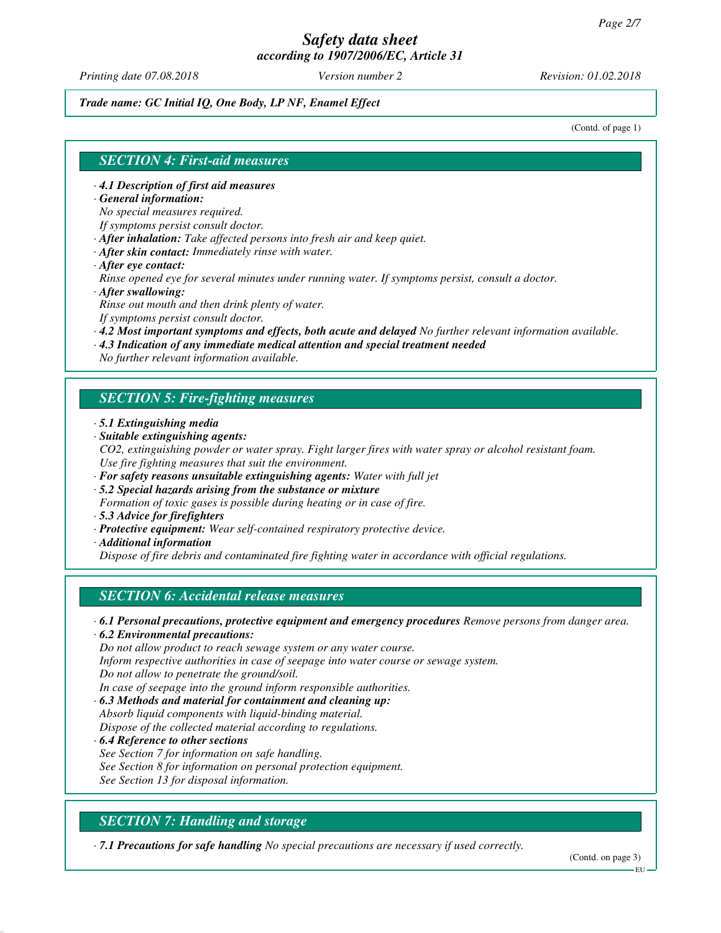*Printing date 07.08.2018 Version number 2 Revision: 01.02.2018*

*Trade name: GC Initial IQ, One Body, LP NF, Enamel Effect*

(Contd. of page 1)

## *SECTION 4: First-aid measures*

*· 4.1 Description of first aid measures*

*· General information:*

*No special measures required.*

*If symptoms persist consult doctor.*

*· After inhalation: Take affected persons into fresh air and keep quiet.*

- *· After skin contact: Immediately rinse with water.*
- *· After eye contact:*

*Rinse opened eye for several minutes under running water. If symptoms persist, consult a doctor. · After swallowing:*

*Rinse out mouth and then drink plenty of water.*

*If symptoms persist consult doctor.*

- *· 4.2 Most important symptoms and effects, both acute and delayed No further relevant information available.*
- *· 4.3 Indication of any immediate medical attention and special treatment needed*

*No further relevant information available.*

## *SECTION 5: Fire-fighting measures*

- *· 5.1 Extinguishing media*
- *· Suitable extinguishing agents:*
- *CO2, extinguishing powder or water spray. Fight larger fires with water spray or alcohol resistant foam. Use fire fighting measures that suit the environment.*
- *· For safety reasons unsuitable extinguishing agents: Water with full jet*
- *· 5.2 Special hazards arising from the substance or mixture*
- *Formation of toxic gases is possible during heating or in case of fire.*
- *· 5.3 Advice for firefighters*
- *· Protective equipment: Wear self-contained respiratory protective device.*
- *· Additional information*

*Dispose of fire debris and contaminated fire fighting water in accordance with official regulations.*

### *SECTION 6: Accidental release measures*

*· 6.1 Personal precautions, protective equipment and emergency procedures Remove persons from danger area.*

*· 6.2 Environmental precautions:*

*Do not allow product to reach sewage system or any water course.*

*Inform respective authorities in case of seepage into water course or sewage system.*

*Do not allow to penetrate the ground/soil.*

*In case of seepage into the ground inform responsible authorities.*

*· 6.3 Methods and material for containment and cleaning up: Absorb liquid components with liquid-binding material.*

*Dispose of the collected material according to regulations.*

*· 6.4 Reference to other sections See Section 7 for information on safe handling. See Section 8 for information on personal protection equipment. See Section 13 for disposal information.*

# *SECTION 7: Handling and storage*

*· 7.1 Precautions for safe handling No special precautions are necessary if used correctly.*

(Contd. on page 3)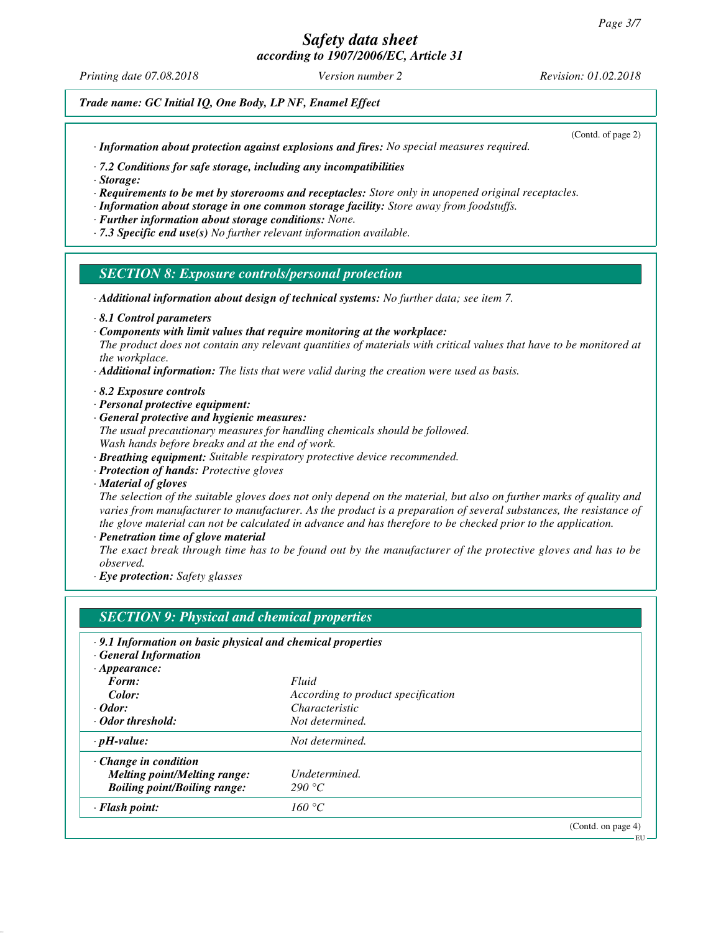*Printing date 07.08.2018 Version number 2 Revision: 01.02.2018*

*Trade name: GC Initial IQ, One Body, LP NF, Enamel Effect*

*· Information about protection against explosions and fires: No special measures required.*

(Contd. of page 2)

*· 7.2 Conditions for safe storage, including any incompatibilities*

*· Storage:*

*· Requirements to be met by storerooms and receptacles: Store only in unopened original receptacles.*

- *· Information about storage in one common storage facility: Store away from foodstuffs.*
- *· Further information about storage conditions: None.*
- *· 7.3 Specific end use(s) No further relevant information available.*

### *SECTION 8: Exposure controls/personal protection*

- *· Additional information about design of technical systems: No further data; see item 7.*
- *· 8.1 Control parameters*
- *· Components with limit values that require monitoring at the workplace:*
- *The product does not contain any relevant quantities of materials with critical values that have to be monitored at the workplace.*
- *· Additional information: The lists that were valid during the creation were used as basis.*
- *· 8.2 Exposure controls*
- *· Personal protective equipment:*
- *· General protective and hygienic measures:*
- *The usual precautionary measures for handling chemicals should be followed. Wash hands before breaks and at the end of work.*
- *· Breathing equipment: Suitable respiratory protective device recommended.*
- *· Protection of hands: Protective gloves*
- *· Material of gloves*

*The selection of the suitable gloves does not only depend on the material, but also on further marks of quality and varies from manufacturer to manufacturer. As the product is a preparation of several substances, the resistance of the glove material can not be calculated in advance and has therefore to be checked prior to the application.*

*· Penetration time of glove material*

*The exact break through time has to be found out by the manufacturer of the protective gloves and has to be observed.*

*· Eye protection: Safety glasses*

| .9.1 Information on basic physical and chemical properties |                                    |                    |
|------------------------------------------------------------|------------------------------------|--------------------|
| · General Information                                      |                                    |                    |
| $\cdot$ Appearance:                                        |                                    |                    |
| Form:                                                      | Fluid                              |                    |
| Color:                                                     | According to product specification |                    |
| $\cdot$ Odor:                                              | Characteristic                     |                    |
| · Odor threshold:                                          | Not determined.                    |                    |
| $\cdot$ pH-value:                                          | Not determined.                    |                    |
| $\cdot$ Change in condition                                |                                    |                    |
| <b>Melting point/Melting range:</b>                        | Undetermined.                      |                    |
| <b>Boiling point/Boiling range:</b>                        | 290 °C                             |                    |
| · Flash point:                                             | 160 °C                             |                    |
|                                                            |                                    | (Contd. on page 4) |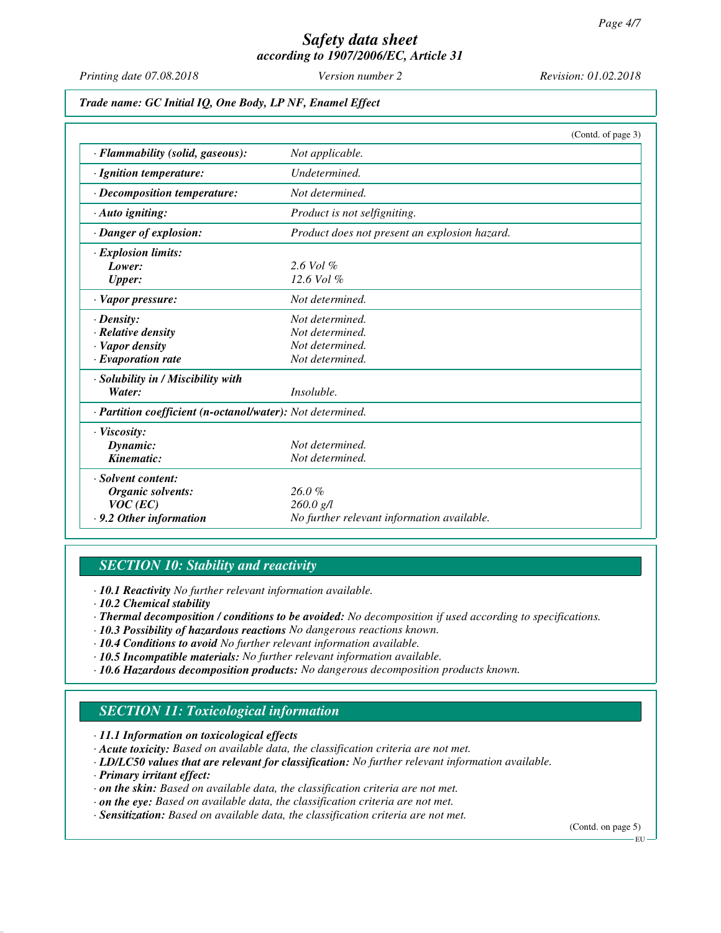*Printing date 07.08.2018 Version number 2 Revision: 01.02.2018*

*Trade name: GC Initial IQ, One Body, LP NF, Enamel Effect*

|                                                            | (Contd. of page 3)                            |
|------------------------------------------------------------|-----------------------------------------------|
| · Flammability (solid, gaseous):                           | Not applicable.                               |
| · Ignition temperature:                                    | Undetermined.                                 |
| · Decomposition temperature:                               | Not determined.                               |
| $\cdot$ Auto igniting:                                     | Product is not selfigniting.                  |
| · Danger of explosion:                                     | Product does not present an explosion hazard. |
| <b>Explosion limits:</b>                                   |                                               |
| Lower:                                                     | $2.6$ Vol $%$                                 |
| <b>Upper:</b>                                              | $12.6$ Vol $%$                                |
| · Vapor pressure:                                          | Not determined.                               |
| $\cdot$ Density:                                           | Not determined.                               |
| · Relative density                                         | Not determined.                               |
| · Vapor density                                            | Not determined.                               |
| $\cdot$ Evaporation rate                                   | Not determined.                               |
| · Solubility in / Miscibility with                         |                                               |
| Water:                                                     | Insoluble.                                    |
| · Partition coefficient (n-octanol/water): Not determined. |                                               |
| · Viscosity:                                               |                                               |
| Dynamic:                                                   | Not determined.                               |
| Kinematic:                                                 | Not determined.                               |
| · Solvent content:                                         |                                               |
| Organic solvents:                                          | 26.0%                                         |
| $VOC$ (EC)                                                 | $260.0$ g/l                                   |
| $\cdot$ 9.2 Other information                              | No further relevant information available.    |

## *SECTION 10: Stability and reactivity*

*· 10.1 Reactivity No further relevant information available.*

- *· 10.2 Chemical stability*
- *· Thermal decomposition / conditions to be avoided: No decomposition if used according to specifications.*
- *· 10.3 Possibility of hazardous reactions No dangerous reactions known.*
- *· 10.4 Conditions to avoid No further relevant information available.*
- *· 10.5 Incompatible materials: No further relevant information available.*
- *· 10.6 Hazardous decomposition products: No dangerous decomposition products known.*

# *SECTION 11: Toxicological information*

- *· 11.1 Information on toxicological effects*
- *· Acute toxicity: Based on available data, the classification criteria are not met.*
- *· LD/LC50 values that are relevant for classification: No further relevant information available.*
- *· Primary irritant effect:*
- *· on the skin: Based on available data, the classification criteria are not met.*
- *· on the eye: Based on available data, the classification criteria are not met.*
- *· Sensitization: Based on available data, the classification criteria are not met.*

(Contd. on page 5)

EU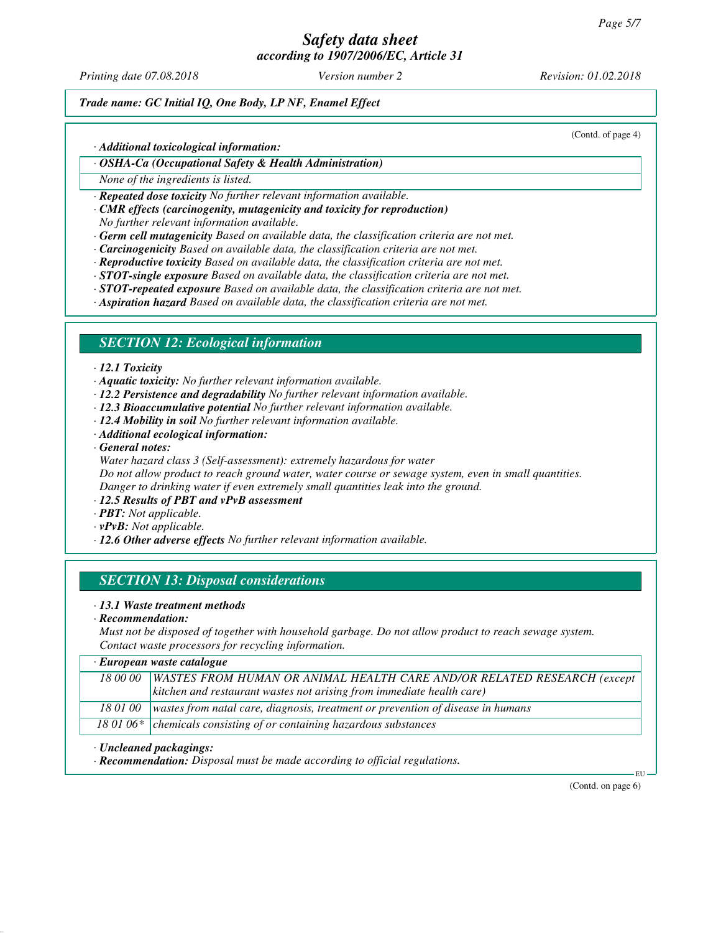# *Safety data sheet*

*according to 1907/2006/EC, Article 31*

*Printing date 07.08.2018 Version number 2 Revision: 01.02.2018*

## *Trade name: GC Initial IQ, One Body, LP NF, Enamel Effect*

(Contd. of page 4)

### *· Additional toxicological information:*

*· OSHA-Ca (Occupational Safety & Health Administration)*

*None of the ingredients is listed.*

*· Repeated dose toxicity No further relevant information available.*

*· CMR effects (carcinogenity, mutagenicity and toxicity for reproduction)*

*No further relevant information available.*

*· Germ cell mutagenicity Based on available data, the classification criteria are not met.*

- *· Carcinogenicity Based on available data, the classification criteria are not met.*
- *· Reproductive toxicity Based on available data, the classification criteria are not met.*

*· STOT-single exposure Based on available data, the classification criteria are not met.*

*· STOT-repeated exposure Based on available data, the classification criteria are not met.*

*· Aspiration hazard Based on available data, the classification criteria are not met.*

### *SECTION 12: Ecological information*

### *· 12.1 Toxicity*

*· Aquatic toxicity: No further relevant information available.*

- *· 12.2 Persistence and degradability No further relevant information available.*
- *· 12.3 Bioaccumulative potential No further relevant information available.*
- *· 12.4 Mobility in soil No further relevant information available.*
- *· Additional ecological information:*
- *· General notes:*

*Water hazard class 3 (Self-assessment): extremely hazardous for water Do not allow product to reach ground water, water course or sewage system, even in small quantities. Danger to drinking water if even extremely small quantities leak into the ground.*

- *· 12.5 Results of PBT and vPvB assessment*
- *· PBT: Not applicable.*
- *· vPvB: Not applicable.*

*· 12.6 Other adverse effects No further relevant information available.*

# *SECTION 13: Disposal considerations*

### *· 13.1 Waste treatment methods*

*· Recommendation:*

*Must not be disposed of together with household garbage. Do not allow product to reach sewage system. Contact waste processors for recycling information.*

### *· European waste catalogue*

| 18 00 00 WASTES FROM HUMAN OR ANIMAL HEALTH CARE AND/OR RELATED RESEARCH (except           |
|--------------------------------------------------------------------------------------------|
| $\vert$ kitchen and restaurant wastes not arising from immediate health care)              |
|                                                                                            |
| 18 01 00   wastes from natal care, diagnosis, treatment or prevention of disease in humans |
| 18 01 06* $\vert$ chemicals consisting of or containing hazardous substances               |
|                                                                                            |

#### *· Uncleaned packagings:*

*· Recommendation: Disposal must be made according to official regulations.*

(Contd. on page 6)

EU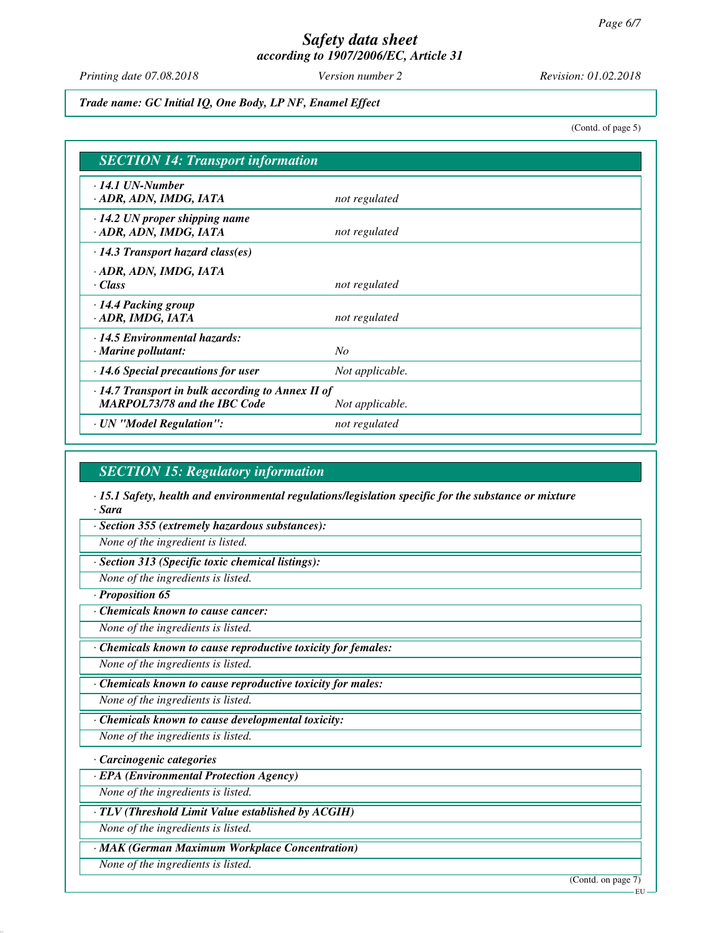*Printing date 07.08.2018 Version number 2 Revision: 01.02.2018*

*Trade name: GC Initial IQ, One Body, LP NF, Enamel Effect*

(Contd. of page 5)

| <b>SECTION 14: Transport information</b>                                                       |                 |  |
|------------------------------------------------------------------------------------------------|-----------------|--|
| $\cdot$ 14.1 UN-Number<br>· ADR, ADN, IMDG, IATA                                               | not regulated   |  |
| $\cdot$ 14.2 UN proper shipping name<br>· ADR, ADN, IMDG, IATA                                 | not regulated   |  |
| $\cdot$ 14.3 Transport hazard class(es)                                                        |                 |  |
| · ADR, ADN, IMDG, IATA<br>· Class                                                              | not regulated   |  |
| $\cdot$ 14.4 Packing group<br>· ADR, IMDG, IATA                                                | not regulated   |  |
| $\cdot$ 14.5 Environmental hazards:<br>$\cdot$ Marine pollutant:                               | No              |  |
| $\cdot$ 14.6 Special precautions for user                                                      | Not applicable. |  |
| $\cdot$ 14.7 Transport in bulk according to Annex II of<br><b>MARPOL73/78 and the IBC Code</b> | Not applicable. |  |
| · UN "Model Regulation":                                                                       | not regulated   |  |

### *SECTION 15: Regulatory information*

*· 15.1 Safety, health and environmental regulations/legislation specific for the substance or mixture · Sara*

*· Section 355 (extremely hazardous substances):*

*None of the ingredient is listed.*

*· Section 313 (Specific toxic chemical listings):*

*None of the ingredients is listed.*

*· Proposition 65*

*· Chemicals known to cause cancer:*

*None of the ingredients is listed.*

*· Chemicals known to cause reproductive toxicity for females:*

*None of the ingredients is listed.*

*· Chemicals known to cause reproductive toxicity for males:*

*None of the ingredients is listed.*

*· Chemicals known to cause developmental toxicity:*

*None of the ingredients is listed.*

*· Carcinogenic categories*

*· EPA (Environmental Protection Agency)*

*None of the ingredients is listed.*

*· TLV (Threshold Limit Value established by ACGIH)*

*None of the ingredients is listed.*

*· MAK (German Maximum Workplace Concentration)*

*None of the ingredients is listed.*

(Contd. on page 7)

**EU**